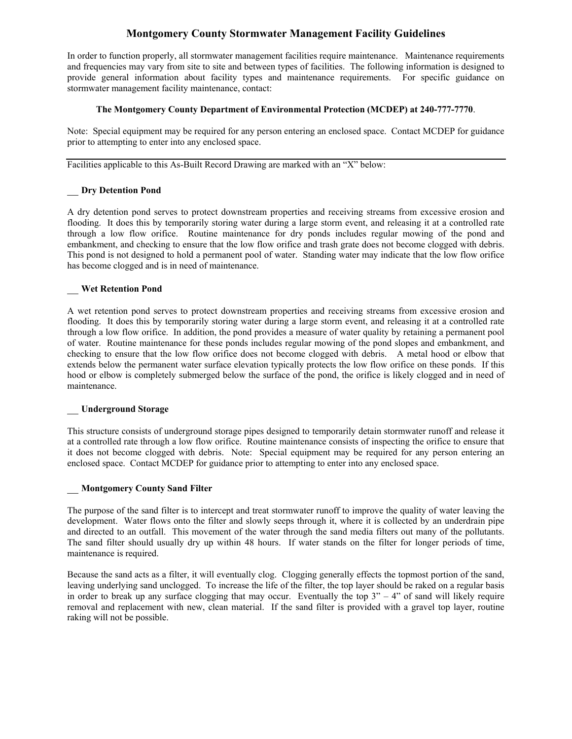# **Montgomery County Stormwater Management Facility Guidelines**

In order to function properly, all stormwater management facilities require maintenance. Maintenance requirements and frequencies may vary from site to site and between types of facilities. The following information is designed to provide general information about facility types and maintenance requirements. For specific guidance on stormwater management facility maintenance, contact:

## **The Montgomery County Department of Environmental Protection (MCDEP) at 240-777-7770**.

Note: Special equipment may be required for any person entering an enclosed space. Contact MCDEP for guidance prior to attempting to enter into any enclosed space.

Facilities applicable to this As-Built Record Drawing are marked with an "X" below:

# \_\_ **Dry Detention Pond**

A dry detention pond serves to protect downstream properties and receiving streams from excessive erosion and flooding. It does this by temporarily storing water during a large storm event, and releasing it at a controlled rate through a low flow orifice. Routine maintenance for dry ponds includes regular mowing of the pond and embankment, and checking to ensure that the low flow orifice and trash grate does not become clogged with debris. This pond is not designed to hold a permanent pool of water. Standing water may indicate that the low flow orifice has become clogged and is in need of maintenance.

## \_\_ **Wet Retention Pond**

A wet retention pond serves to protect downstream properties and receiving streams from excessive erosion and flooding. It does this by temporarily storing water during a large storm event, and releasing it at a controlled rate through a low flow orifice. In addition, the pond provides a measure of water quality by retaining a permanent pool of water. Routine maintenance for these ponds includes regular mowing of the pond slopes and embankment, and checking to ensure that the low flow orifice does not become clogged with debris. A metal hood or elbow that extends below the permanent water surface elevation typically protects the low flow orifice on these ponds. If this hood or elbow is completely submerged below the surface of the pond, the orifice is likely clogged and in need of maintenance.

#### \_\_ **Underground Storage**

This structure consists of underground storage pipes designed to temporarily detain stormwater runoff and release it at a controlled rate through a low flow orifice. Routine maintenance consists of inspecting the orifice to ensure that it does not become clogged with debris. Note: Special equipment may be required for any person entering an enclosed space. Contact MCDEP for guidance prior to attempting to enter into any enclosed space.

## \_\_ **Montgomery County Sand Filter**

The purpose of the sand filter is to intercept and treat stormwater runoff to improve the quality of water leaving the development. Water flows onto the filter and slowly seeps through it, where it is collected by an underdrain pipe and directed to an outfall. This movement of the water through the sand media filters out many of the pollutants. The sand filter should usually dry up within 48 hours. If water stands on the filter for longer periods of time, maintenance is required.

Because the sand acts as a filter, it will eventually clog. Clogging generally effects the topmost portion of the sand, leaving underlying sand unclogged. To increase the life of the filter, the top layer should be raked on a regular basis in order to break up any surface clogging that may occur. Eventually the top  $3" - 4"$  of sand will likely require removal and replacement with new, clean material. If the sand filter is provided with a gravel top layer, routine raking will not be possible.